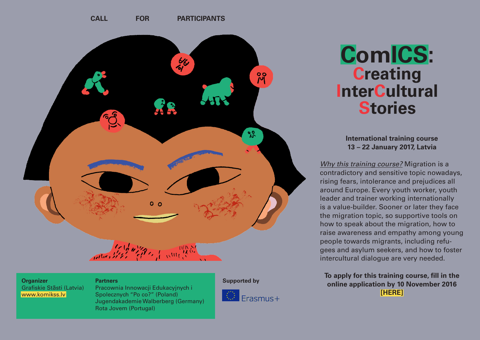

**Organizer** Grafiskie Stāsti (Latvia) <www.komikss.lv>

#### **Partners Supported by**

Pracownia Innowacji Edukacyjnych i Spolecznych "Po co?" (Poland) Jugendakademie Walberberg (Germany) Rota Jovem (Portugal)





# **ComICS: Creating InterCultural Stories**

**International training course 13 – 22 January 2017, Latvia**

*Why this training course?* Migration is a contradictory and sensitive topic nowadays, rising fears, intolerance and prejudices all around Europe. Every youth worker, youth leader and trainer working internationally is a value-builder. Sooner or later they face the migration topic, so supportive tools on how to speak about the migration, how to raise awareness and empathy among young people towards migrants, including refugees and asylum seekers, and how to foster intercultural dialogue are very needed.

**To apply for this training course, fill in the online application by 10 November 2016 [\[HERE\]](https://docs.google.com/forms/d/e/1FAIpQLSe_wURHgAr12QyLE-pYDkkUbrNpBRVY0ruSJTZCzKl1_MNSdg/viewform)**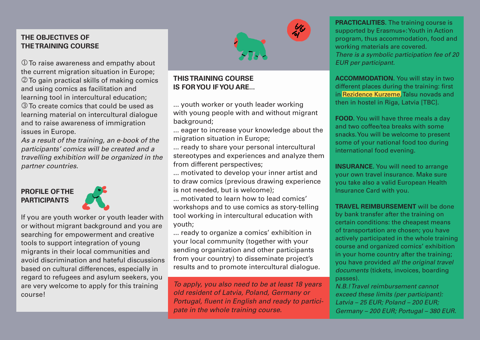### **THE OBJECTIVES OF THE TRAINING COURSE**

 $<sup>1</sup>$  To raise awareness and empathy about</sup> the current migration situation in Europe; **2** To gain practical skills of making comics and using comics as facilitation and learning tool in intercultural education; **EXT** To create comics that could be used as learning material on intercultural dialogue and to raise awareness of immigration issues in Europe.

*As a result of the training, an e-book of the participants' comics will be created and a travelling exhibition will be organized in the partner countries.*

### **PROFILE OF THE PARTICIPANTS**



If you are youth worker or youth leader with or without migrant background and you are searching for empowerment and creative tools to support integration of young migrants in their local communities and avoid discrimination and hateful discussions based on cultural differences, especially in regard to refugees and asylum seekers, you are very welcome to apply for this training course!



## **THIS TRAINING COURSE IS FOR YOU IF YOU ARE...**

... youth worker or youth leader working with young people with and without migrant background:

... eager to increase your knowledge about the migration situation in Europe;

... ready to share your personal intercultural stereotypes and experiences and analyze them from different perspectives;

... motivated to develop your inner artist and to draw comics (previous drawing experience is not needed, but is welcome);

... motivated to learn how to lead comics' workshops and to use comics as story-telling tool working in intercultural education with youth;

... ready to organize a comics' exhibition in your local community (together with your sending organization and other participants from your country) to disseminate project's results and to promote intercultural dialogue.

*To apply, you also need to be at least 18 years old resident of Latvia, Poland, Germany or Portugal, fluent in English and ready to participate in the whole training course.*

**PRACTICALITIES.** The training course is supported by Erasmus+: Youth in Action program, thus accommodation, food and working materials are covered. *There is a symbolic participation fee of 20 EUR per participant.*

**ACCOMMODATION.** You will stay in two different places during the training: first in [Rezidence Kurzeme,](www.rezidencekurzeme.lv ) Talsu novads and then in hostel in Riga, Latvia [TBC].

**FOOD.** You will have three meals a day and two coffee/tea breaks with some snacks. You will be welcome to present some of your national food too during international food evening.

**INSURANCE.** You will need to arrange your own travel insurance. Make sure you take also a valid European Health Insurance Card with you.

**TRAVEL REIMBURSEMENT** will be done by bank transfer after the training on certain conditions: the cheapest means of transportation are chosen; you have actively participated in the whole training course and organized comics' exhibition in your home country after the training; you have provided *all the original travel documents* (tickets, invoices, boarding passes).

*N.B.! Travel reimbursement cannot exceed these limits (per participant): Latvia – 25 EUR; Poland – 200 EUR; Germany – 200 EUR; Portugal – 380 EUR.*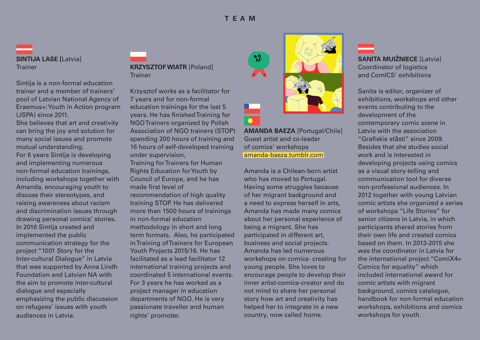**SINTIJA LASE [**Latvia] **Trainer** 

Sintija is a non-formal education trainer and a member of trainers' pool of Latvian National Agency of Erasmus+: Youth in Action program (JSPA) since 2011.

She believes that art and creativity can bring the joy and solution for many social issues and promote mutual understanding. For 6 years Sintija is developing and implementing numerous non-formal education trainings, including workshops together with Amanda, encouraging youth to discuss their stereotypes, and raising awareness about racism and discrimination issues through drawing personal comics' stories. In 2016 Sintija created and implemented the public communication strategy for the project "1001 Story for the Inter-cultural Dialogue" in Latvia that was supported by Anna Lindh Foundation and Latvian NA with the aim to promote inter-cultural dialogue and especially emphasizing the public discussion on refugees' issues with youth audiences in Latvia.

#### **KRZYSZTOF WIATR** [Poland] **Trainer**

Krzysztof works as a facilitator for 7 years and for non-formal education trainings for the last 5 years. He has finished Training for NGO Trainers organized by Polish Association of NGO trainers (STOP) spending 200 hours of training and 16 hours of self-developed training under supervision, Training for Trainers for Human Rights Education for Youth by Council of Europe, and he has made first level of recommendation of high quality training STOP. He has delivered more than 1500 hours of trainings in non-formal education methodology in short and long term formats. Also, he participated in Training of Trainers for European Youth Projects 2015/16. He has facilitated as a lead facilitator 12 international training projects and coordinated 5 international events. For 3 years he has worked as a project manager in education departments of NGO. He is very passionate traveller and human rights' promoter.



**AMANDA BAEZA** [Portugal/Chile] Guest artist and co-leader of comics' workshops [amanda-baeza.tumblr.com](http://amanda-baeza.tumblr.com/)

Amanda is a Chilean-born artist who has moved to Portugal. Having some struggles because of her migrant background and a need to express herself in arts, Amanda has made many comics about her personal experience of being a migrant. She has participated in different art, business and social projects. Amanda has led numerous workshops on comics- creating for young people. She loves to encourage people to develop their inner artist-comics-creator and do not mind to share her personal story how art and creativity has helped her to integrate in a new country, now called home.



Coordinator of logistics and ComICS' exhibitions

Sanita is editor, organizer of exhibitions, workshops and other events contributing to the development of the contemporary comic scene in Latvia with the association "Grafiskie stāsti" since 2009. Besides that she studies social work and is interested in developing projects using comics as a visual story-telling and communication tool for diverse non-professional audiences. In 2012 together with young Latvian comic artists she organized a series of workshops "Life Stories" for senior citizens in Latvia, in which participants shared stories from their own life and created comics based on them. In 2013-2015 she was the coordinator in Latvia for the international project "ComiX4= Comics for equality" which included international award for comic artists with migrant background, comics catalogue, handbook for non-formal education workshops, exhibitions and comics workshops for youth.